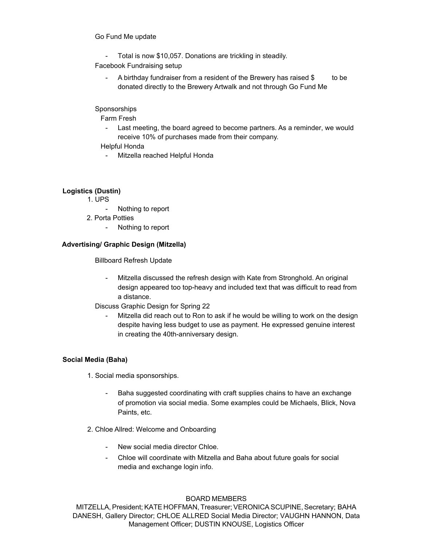#### 1. Go Fund Me update

- Total is now \$10,057. Donations are trickling in steadily.
- 2. Facebook Fundraising setup
	- A birthday fundraiser from a resident of the Brewery has raised \$1260 to be donated directly to the Brewery Artwalk and not through Go Fund Me

## 3. Sponsorships

- a. Farm Fresh
	- Last meeting, the board agreed to become partners. As a reminder, we would receive 10% of purchases made from their company.
- b. Helpful Honda
	- Mitzella reached Helpful Honda. They have a website and regularly participate in community events. She suggested reaching out to them with some ideas for Artwalk.

# **Logistics (Dustin)**

- 1. UPS
	- Nothing to report
	- 2. Porta Potties
		- Nothing to report

# **Advertising/ Graphic Design (Mitzella)**

- **1.** Billboard Refresh Update
	- Mitzella discussed the refresh design with Kate from Stronghold. An original design appeared too top-heavy and included text that was difficult to read from a distance.
- 2. Discuss Graphic Design for Spring 22
	- Mitzella did reach out to Ron to ask if he would be willing to work on the design despite having less budget to use as payment. He expressed genuine interest in creating the 40th-anniversary design.

### **Social Media (Baha)**

- 1. Social media sponsorships.
	- Baha suggested coordinating with craft supplies chains to have an exchange of promotion via social media. Some examples could be Michaels, Blick, Nova Paints, etc.
- 2. Chloe Allred: Welcome and Onboarding
	- New social media director Chloe.
	- Chloe will coordinate with Mitzella and Baha about future goals for social media and exchange login info.

#### BOARD MEMBERS

MITZELLA, President; KATE HOFFMAN, Treasurer; VERONICA SCUPINE, Secretary; BAHA DANESH, Gallery Director; CHLOE ALLRED Social Media Director; VAUGHN HANNON, Data Management Officer; DUSTIN KNOUSE, Logistics Officer